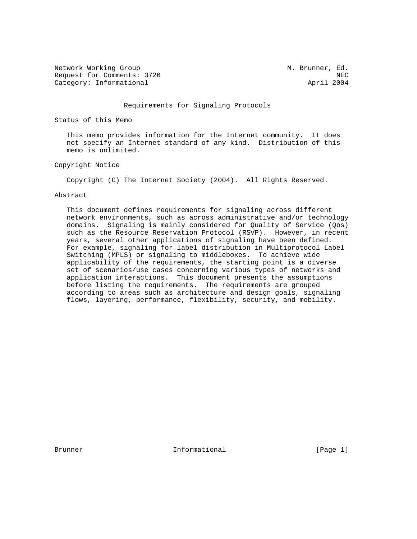Network Working Group M. Brunner, Ed. Request for Comments: 3726 NEC<br>Category: Informational New York New York New York New York New York New York New York New York New York New Yo Category: Informational

### Requirements for Signaling Protocols

Status of this Memo

 This memo provides information for the Internet community. It does not specify an Internet standard of any kind. Distribution of this memo is unlimited.

Copyright Notice

Copyright (C) The Internet Society (2004). All Rights Reserved.

#### Abstract

 This document defines requirements for signaling across different network environments, such as across administrative and/or technology domains. Signaling is mainly considered for Quality of Service (Qos) such as the Resource Reservation Protocol (RSVP). However, in recent years, several other applications of signaling have been defined. For example, signaling for label distribution in Multiprotocol Label Switching (MPLS) or signaling to middleboxes. To achieve wide applicability of the requirements, the starting point is a diverse set of scenarios/use cases concerning various types of networks and application interactions. This document presents the assumptions before listing the requirements. The requirements are grouped according to areas such as architecture and design goals, signaling flows, layering, performance, flexibility, security, and mobility.

Brunner 1. Informational 1. The Informational (Page 1)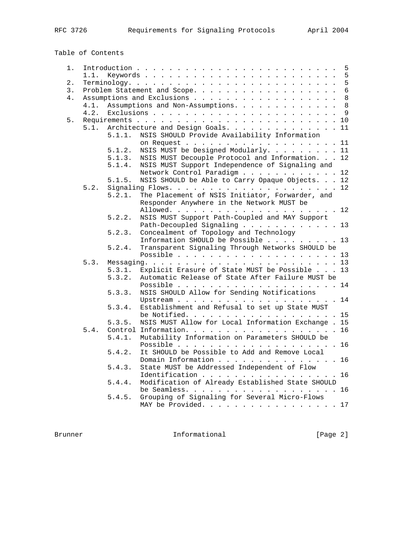Table of Contents

| 1. |      |        |                                                                        | 5            |
|----|------|--------|------------------------------------------------------------------------|--------------|
|    | 1.1. |        |                                                                        | 5            |
| 2. |      |        |                                                                        | 5            |
| 3. |      |        | Problem Statement and Scope.                                           | $\epsilon$   |
| 4. |      |        |                                                                        | 8            |
|    | 4.1. |        | Assumptions and Non-Assumptions.                                       | 8            |
|    | 4.2. |        |                                                                        | $\mathsf{Q}$ |
| 5. |      |        |                                                                        | 10           |
|    | 5.1. |        | Architecture and Design Goals. 11                                      |              |
|    |      | 5.1.1. | NSIS SHOULD Provide Availability Information                           |              |
|    |      |        | on Request 11                                                          |              |
|    |      | 5.1.2. | NSIS MUST be Designed Modularly. 11                                    |              |
|    |      | 5.1.3. | NSIS MUST Decouple Protocol and Information. 12                        |              |
|    |      | 5.1.4. | NSIS MUST Support Independence of Signaling and                        |              |
|    |      |        | Network Control Paradigm 12                                            |              |
|    |      | 5.1.5. | NSIS SHOULD be Able to Carry Opaque Objects. 12                        |              |
|    | 5.2. |        |                                                                        |              |
|    |      | 5.2.1. | The Placement of NSIS Initiator, Forwarder, and                        |              |
|    |      |        | Responder Anywhere in the Network MUST be                              |              |
|    |      |        |                                                                        |              |
|    |      | 5.2.2. | NSIS MUST Support Path-Coupled and MAY Support                         |              |
|    |      |        | Path-Decoupled Signaling 13                                            |              |
|    |      | 5.2.3. | Concealment of Topology and Technology                                 |              |
|    |      |        | Information SHOULD be Possible 13                                      |              |
|    |      | 5.2.4. | Transparent Signaling Through Networks SHOULD be                       |              |
|    |      |        |                                                                        |              |
|    | 5.3. |        |                                                                        |              |
|    |      | 5.3.1. | Explicit Erasure of State MUST be Possible 13                          |              |
|    |      | 5.3.2. | Automatic Release of State After Failure MUST be                       |              |
|    |      |        |                                                                        | 14           |
|    |      | 5.3.3. | NSIS SHOULD Allow for Sending Notifications                            |              |
|    |      |        |                                                                        |              |
|    |      | 5.3.4. | Establishment and Refusal to set up State MUST                         |              |
|    |      | 5.3.5. | be Notified. 15<br>NSIS MUST Allow for Local Information Exchange . 15 |              |
|    | 5.4. |        | Control Information.                                                   | 16           |
|    |      | 5.4.1. | Mutability Information on Parameters SHOULD be                         |              |
|    |      |        |                                                                        |              |
|    |      | 5.4.2. | It SHOULD be Possible to Add and Remove Local                          |              |
|    |      |        | Domain Information 16                                                  |              |
|    |      | 5.4.3. | State MUST be Addressed Independent of Flow                            |              |
|    |      |        | Identification 16                                                      |              |
|    |      | 5.4.4. | Modification of Already Established State SHOULD                       |              |
|    |      |        | be Seamless. 16                                                        |              |
|    |      | 5.4.5. | Grouping of Signaling for Several Micro-Flows                          |              |
|    |      |        | MAY be Provided. 17                                                    |              |
|    |      |        |                                                                        |              |

Brunner 10 Informational 100 Informational [Page 2]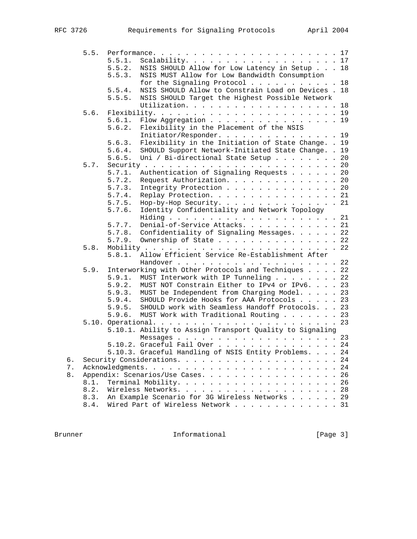|       | 5.5. |        |                                                          |    |
|-------|------|--------|----------------------------------------------------------|----|
|       |      | 5.5.1. | Scalability. 17                                          |    |
|       |      | 5.5.2. | NSIS SHOULD Allow for Low Latency in Setup 18            |    |
|       |      | 5.5.3. | NSIS MUST Allow for Low Bandwidth Consumption            |    |
|       |      |        | for the Signaling Protocol 18                            |    |
|       |      | 5.5.4. | NSIS SHOULD Allow to Constrain Load on Devices . 18      |    |
|       |      | 5.5.5. | NSIS SHOULD Target the Highest Possible Network          |    |
|       |      |        | Utilization. 18                                          |    |
|       | 5.6. |        |                                                          |    |
|       |      | 5.6.1. |                                                          |    |
|       |      |        | Flow Aggregation 19                                      |    |
|       |      | 5.6.2. | Flexibility in the Placement of the NSIS                 |    |
|       |      |        | Initiator/Responder. 19                                  |    |
|       |      | 5.6.3. | Flexibility in the Initiation of State Change. . 19      |    |
|       |      | 5.6.4. | SHOULD Support Network-Initiated State Change. . 19      |    |
|       |      | 5.6.5. | Uni / Bi-directional State Setup 20                      |    |
|       | 5.7. |        |                                                          |    |
|       |      | 5.7.1. | Authentication of Signaling Requests 20                  |    |
|       |      | 5.7.2. | Request Authorization. 20                                |    |
|       |      | 5.7.3. | Integrity Protection 20                                  |    |
|       |      | 5.7.4. | Replay Protection. 21                                    |    |
|       |      | 5.7.5. | Hop-by-Hop Security. 21                                  |    |
|       |      | 5.7.6. | Identity Confidentiality and Network Topology            |    |
|       |      |        |                                                          |    |
|       |      | 5.7.7. | Denial-of-Service Attacks. 21                            |    |
|       |      |        | 5.7.8. Confidentiality of Signaling Messages. 22         |    |
|       |      | 5.7.9. | Ownership of State 22                                    |    |
|       |      |        |                                                          |    |
|       | 5.8. |        |                                                          |    |
|       |      | 5.8.1. | Allow Efficient Service Re-Establishment After           |    |
|       |      |        |                                                          |    |
|       | 5.9. |        | Interworking with Other Protocols and Techniques 22      |    |
|       |      | 5.9.1. | MUST Interwork with IP Tunneling 22                      |    |
|       |      | 5.9.2. | MUST NOT Constrain Either to IPv4 or IPv6. 23            |    |
|       |      | 5.9.3. | MUST be Independent from Charging Model. 23              |    |
|       |      | 5.9.4. | SHOULD Provide Hooks for AAA Protocols 23                |    |
|       |      | 5.9.5. | SHOULD work with Seamless Handoff Protocols. 23          |    |
|       |      | 5.9.6. | MUST Work with Traditional Routing 23                    |    |
|       |      |        |                                                          |    |
|       |      |        | 5.10.1. Ability to Assign Transport Quality to Signaling |    |
|       |      |        |                                                          |    |
|       |      |        | 5.10.2. Graceful Fail Over 24                            |    |
|       |      |        | 5.10.3. Graceful Handling of NSIS Entity Problems. 24    |    |
| б.    |      |        |                                                          | 24 |
| $7$ . |      |        |                                                          | 24 |
|       |      |        | Appendix: Scenarios/Use Cases.                           | 26 |
| $8$ . |      |        |                                                          |    |
|       | 8.1. |        |                                                          | 26 |
|       | 8.2. |        |                                                          |    |
|       | 8.3. |        | An Example Scenario for 3G Wireless Networks 29          |    |
|       | 8.4. |        | Wired Part of Wireless Network 31                        |    |

Brunner 1nformational [Page 3]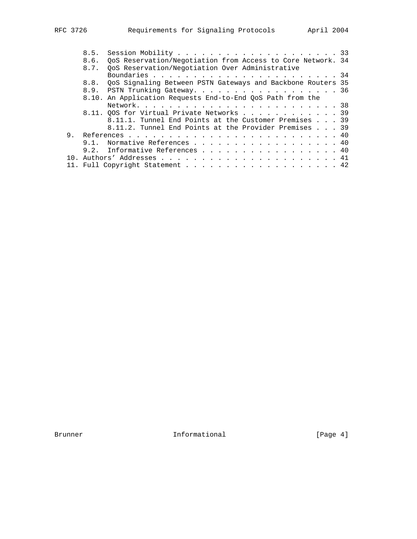|  | 8.5. | Session Mobility 33                                         |
|--|------|-------------------------------------------------------------|
|  | 8.6. | QoS Reservation/Negotiation from Access to Core Network. 34 |
|  | 8.7. | QoS Reservation/Negotiation Over Administrative             |
|  |      |                                                             |
|  | 8.8. | QoS Signaling Between PSTN Gateways and Backbone Routers 35 |
|  |      | 8.9. PSTN Trunking Gateway. 36                              |
|  |      | 8.10. An Application Requests End-to-End QoS Path from the  |
|  |      |                                                             |
|  |      | 8.11. OOS for Virtual Private Networks 39                   |
|  |      | 8.11.1. Tunnel End Points at the Customer Premises 39       |
|  |      | 8.11.2. Tunnel End Points at the Provider Premises 39       |
|  |      |                                                             |
|  |      | 9.1. Normative References 40                                |
|  |      | 9.2. Informative References 40                              |
|  |      |                                                             |
|  |      | 11. Full Copyright Statement 42                             |
|  |      |                                                             |

Brunner 10 Informational 100 Informational [Page 4]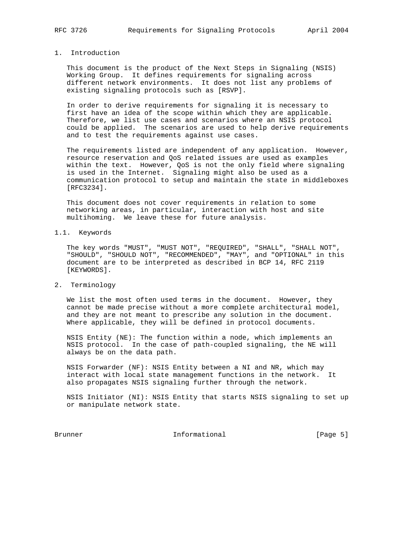## 1. Introduction

 This document is the product of the Next Steps in Signaling (NSIS) Working Group. It defines requirements for signaling across different network environments. It does not list any problems of existing signaling protocols such as [RSVP].

 In order to derive requirements for signaling it is necessary to first have an idea of the scope within which they are applicable. Therefore, we list use cases and scenarios where an NSIS protocol could be applied. The scenarios are used to help derive requirements and to test the requirements against use cases.

 The requirements listed are independent of any application. However, resource reservation and QoS related issues are used as examples within the text. However, QoS is not the only field where signaling is used in the Internet. Signaling might also be used as a communication protocol to setup and maintain the state in middleboxes [RFC3234].

 This document does not cover requirements in relation to some networking areas, in particular, interaction with host and site multihoming. We leave these for future analysis.

## 1.1. Keywords

 The key words "MUST", "MUST NOT", "REQUIRED", "SHALL", "SHALL NOT", "SHOULD", "SHOULD NOT", "RECOMMENDED", "MAY", and "OPTIONAL" in this document are to be interpreted as described in BCP 14, RFC 2119 [KEYWORDS].

## 2. Terminology

 We list the most often used terms in the document. However, they cannot be made precise without a more complete architectural model, and they are not meant to prescribe any solution in the document. Where applicable, they will be defined in protocol documents.

 NSIS Entity (NE): The function within a node, which implements an NSIS protocol. In the case of path-coupled signaling, the NE will always be on the data path.

 NSIS Forwarder (NF): NSIS Entity between a NI and NR, which may interact with local state management functions in the network. It also propagates NSIS signaling further through the network.

 NSIS Initiator (NI): NSIS Entity that starts NSIS signaling to set up or manipulate network state.

Brunner 10 and 10 and 10 and 10 and 10 and 10 and 10 and 10 and 10 and 10 and 10 and 10 and 10 and 10 and 10 and 10 and 10 and 10 and 10 and 10 and 10 and 10 and 10 and 10 and 10 and 10 and 10 and 10 and 10 and 10 and 10 a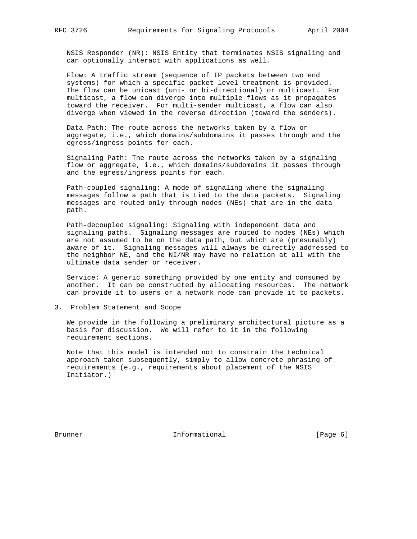NSIS Responder (NR): NSIS Entity that terminates NSIS signaling and can optionally interact with applications as well.

 Flow: A traffic stream (sequence of IP packets between two end systems) for which a specific packet level treatment is provided. The flow can be unicast (uni- or bi-directional) or multicast. For multicast, a flow can diverge into multiple flows as it propagates toward the receiver. For multi-sender multicast, a flow can also diverge when viewed in the reverse direction (toward the senders).

 Data Path: The route across the networks taken by a flow or aggregate, i.e., which domains/subdomains it passes through and the egress/ingress points for each.

 Signaling Path: The route across the networks taken by a signaling flow or aggregate, i.e., which domains/subdomains it passes through and the egress/ingress points for each.

 Path-coupled signaling: A mode of signaling where the signaling messages follow a path that is tied to the data packets. Signaling messages are routed only through nodes (NEs) that are in the data path.

 Path-decoupled signaling: Signaling with independent data and signaling paths. Signaling messages are routed to nodes (NEs) which are not assumed to be on the data path, but which are (presumably) aware of it. Signaling messages will always be directly addressed to the neighbor NE, and the NI/NR may have no relation at all with the ultimate data sender or receiver.

 Service: A generic something provided by one entity and consumed by another. It can be constructed by allocating resources. The network can provide it to users or a network node can provide it to packets.

3. Problem Statement and Scope

 We provide in the following a preliminary architectural picture as a basis for discussion. We will refer to it in the following requirement sections.

 Note that this model is intended not to constrain the technical approach taken subsequently, simply to allow concrete phrasing of requirements (e.g., requirements about placement of the NSIS Initiator.)

Brunner 10 1nformational 1999 (Page 6)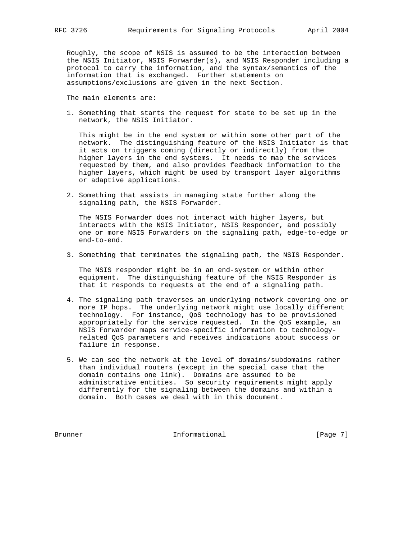Roughly, the scope of NSIS is assumed to be the interaction between the NSIS Initiator, NSIS Forwarder(s), and NSIS Responder including a protocol to carry the information, and the syntax/semantics of the information that is exchanged. Further statements on assumptions/exclusions are given in the next Section.

The main elements are:

 1. Something that starts the request for state to be set up in the network, the NSIS Initiator.

 This might be in the end system or within some other part of the network. The distinguishing feature of the NSIS Initiator is that it acts on triggers coming (directly or indirectly) from the higher layers in the end systems. It needs to map the services requested by them, and also provides feedback information to the higher layers, which might be used by transport layer algorithms or adaptive applications.

 2. Something that assists in managing state further along the signaling path, the NSIS Forwarder.

 The NSIS Forwarder does not interact with higher layers, but interacts with the NSIS Initiator, NSIS Responder, and possibly one or more NSIS Forwarders on the signaling path, edge-to-edge or end-to-end.

3. Something that terminates the signaling path, the NSIS Responder.

 The NSIS responder might be in an end-system or within other equipment. The distinguishing feature of the NSIS Responder is that it responds to requests at the end of a signaling path.

- 4. The signaling path traverses an underlying network covering one or more IP hops. The underlying network might use locally different technology. For instance, QoS technology has to be provisioned appropriately for the service requested. In the QoS example, an NSIS Forwarder maps service-specific information to technology related QoS parameters and receives indications about success or failure in response.
- 5. We can see the network at the level of domains/subdomains rather than individual routers (except in the special case that the domain contains one link). Domains are assumed to be administrative entities. So security requirements might apply differently for the signaling between the domains and within a domain. Both cases we deal with in this document.

Brunner 10 1nformational 100 External Page 7]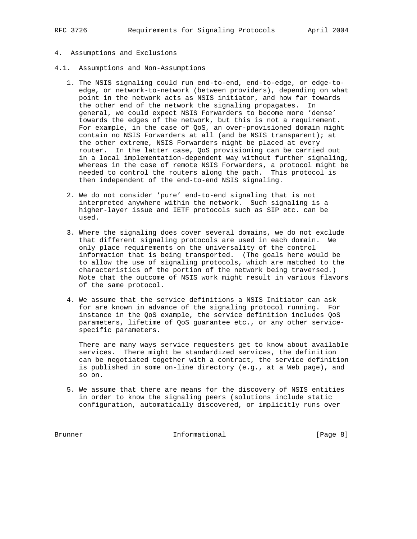- 
- 4. Assumptions and Exclusions
- 4.1. Assumptions and Non-Assumptions
	- 1. The NSIS signaling could run end-to-end, end-to-edge, or edge-to edge, or network-to-network (between providers), depending on what point in the network acts as NSIS initiator, and how far towards the other end of the network the signaling propagates. In general, we could expect NSIS Forwarders to become more 'dense' towards the edges of the network, but this is not a requirement. For example, in the case of QoS, an over-provisioned domain might contain no NSIS Forwarders at all (and be NSIS transparent); at the other extreme, NSIS Forwarders might be placed at every router. In the latter case, QoS provisioning can be carried out in a local implementation-dependent way without further signaling, whereas in the case of remote NSIS Forwarders, a protocol might be needed to control the routers along the path. This protocol is then independent of the end-to-end NSIS signaling.
	- 2. We do not consider 'pure' end-to-end signaling that is not interpreted anywhere within the network. Such signaling is a higher-layer issue and IETF protocols such as SIP etc. can be used.
- 3. Where the signaling does cover several domains, we do not exclude that different signaling protocols are used in each domain. We only place requirements on the universality of the control information that is being transported. (The goals here would be to allow the use of signaling protocols, which are matched to the characteristics of the portion of the network being traversed.) Note that the outcome of NSIS work might result in various flavors of the same protocol.
	- 4. We assume that the service definitions a NSIS Initiator can ask for are known in advance of the signaling protocol running. For instance in the QoS example, the service definition includes QoS parameters, lifetime of QoS guarantee etc., or any other service specific parameters.

 There are many ways service requesters get to know about available services. There might be standardized services, the definition can be negotiated together with a contract, the service definition is published in some on-line directory (e.g., at a Web page), and so on.

 5. We assume that there are means for the discovery of NSIS entities in order to know the signaling peers (solutions include static configuration, automatically discovered, or implicitly runs over

Brunner 10 Informational 100 Page 8]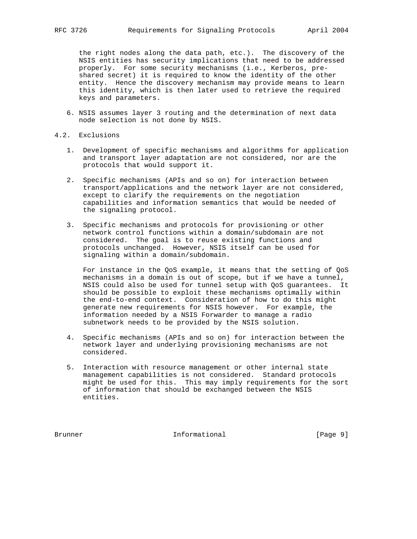the right nodes along the data path, etc.). The discovery of the NSIS entities has security implications that need to be addressed properly. For some security mechanisms (i.e., Kerberos, pre shared secret) it is required to know the identity of the other entity. Hence the discovery mechanism may provide means to learn this identity, which is then later used to retrieve the required keys and parameters.

- 6. NSIS assumes layer 3 routing and the determination of next data node selection is not done by NSIS.
- 4.2. Exclusions
	- 1. Development of specific mechanisms and algorithms for application and transport layer adaptation are not considered, nor are the protocols that would support it.
	- 2. Specific mechanisms (APIs and so on) for interaction between transport/applications and the network layer are not considered, except to clarify the requirements on the negotiation capabilities and information semantics that would be needed of the signaling protocol.
	- 3. Specific mechanisms and protocols for provisioning or other network control functions within a domain/subdomain are not considered. The goal is to reuse existing functions and protocols unchanged. However, NSIS itself can be used for signaling within a domain/subdomain.

 For instance in the QoS example, it means that the setting of QoS mechanisms in a domain is out of scope, but if we have a tunnel, NSIS could also be used for tunnel setup with QoS guarantees. It should be possible to exploit these mechanisms optimally within the end-to-end context. Consideration of how to do this might generate new requirements for NSIS however. For example, the information needed by a NSIS Forwarder to manage a radio subnetwork needs to be provided by the NSIS solution.

- 4. Specific mechanisms (APIs and so on) for interaction between the network layer and underlying provisioning mechanisms are not considered.
- 5. Interaction with resource management or other internal state management capabilities is not considered. Standard protocols might be used for this. This may imply requirements for the sort of information that should be exchanged between the NSIS entities.

Brunner 10 1nformational 1999 [Page 9]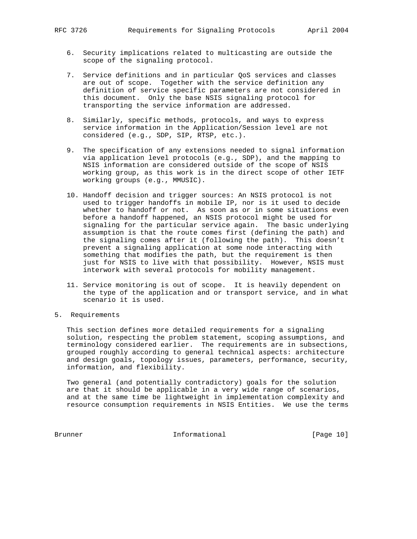- 6. Security implications related to multicasting are outside the scope of the signaling protocol.
- 7. Service definitions and in particular QoS services and classes are out of scope. Together with the service definition any definition of service specific parameters are not considered in this document. Only the base NSIS signaling protocol for transporting the service information are addressed.
- 8. Similarly, specific methods, protocols, and ways to express service information in the Application/Session level are not considered (e.g., SDP, SIP, RTSP, etc.).
- 9. The specification of any extensions needed to signal information via application level protocols (e.g., SDP), and the mapping to NSIS information are considered outside of the scope of NSIS working group, as this work is in the direct scope of other IETF working groups (e.g., MMUSIC).
- 10. Handoff decision and trigger sources: An NSIS protocol is not used to trigger handoffs in mobile IP, nor is it used to decide whether to handoff or not. As soon as or in some situations even before a handoff happened, an NSIS protocol might be used for signaling for the particular service again. The basic underlying assumption is that the route comes first (defining the path) and the signaling comes after it (following the path). This doesn't prevent a signaling application at some node interacting with something that modifies the path, but the requirement is then just for NSIS to live with that possibility. However, NSIS must interwork with several protocols for mobility management.
- 11. Service monitoring is out of scope. It is heavily dependent on the type of the application and or transport service, and in what scenario it is used.
- 5. Requirements

 This section defines more detailed requirements for a signaling solution, respecting the problem statement, scoping assumptions, and terminology considered earlier. The requirements are in subsections, grouped roughly according to general technical aspects: architecture and design goals, topology issues, parameters, performance, security, information, and flexibility.

 Two general (and potentially contradictory) goals for the solution are that it should be applicable in a very wide range of scenarios, and at the same time be lightweight in implementation complexity and resource consumption requirements in NSIS Entities. We use the terms

Brunner 10 Informational 10 Page 10]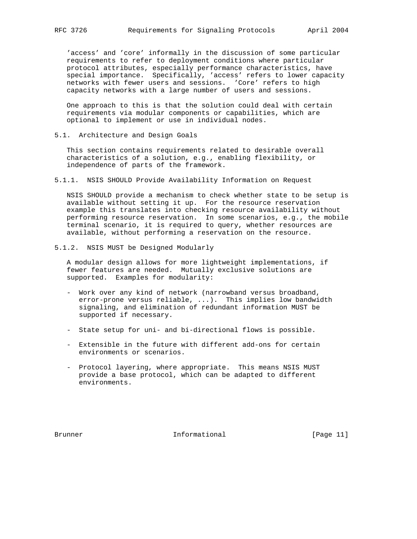'access' and 'core' informally in the discussion of some particular requirements to refer to deployment conditions where particular protocol attributes, especially performance characteristics, have special importance. Specifically, 'access' refers to lower capacity networks with fewer users and sessions. 'Core' refers to high capacity networks with a large number of users and sessions.

 One approach to this is that the solution could deal with certain requirements via modular components or capabilities, which are optional to implement or use in individual nodes.

5.1. Architecture and Design Goals

 This section contains requirements related to desirable overall characteristics of a solution, e.g., enabling flexibility, or independence of parts of the framework.

5.1.1. NSIS SHOULD Provide Availability Information on Request

 NSIS SHOULD provide a mechanism to check whether state to be setup is available without setting it up. For the resource reservation example this translates into checking resource availability without performing resource reservation. In some scenarios, e.g., the mobile terminal scenario, it is required to query, whether resources are available, without performing a reservation on the resource.

5.1.2. NSIS MUST be Designed Modularly

 A modular design allows for more lightweight implementations, if fewer features are needed. Mutually exclusive solutions are supported. Examples for modularity:

- Work over any kind of network (narrowband versus broadband, error-prone versus reliable, ...). This implies low bandwidth signaling, and elimination of redundant information MUST be supported if necessary.
- State setup for uni- and bi-directional flows is possible.
- Extensible in the future with different add-ons for certain environments or scenarios.
- Protocol layering, where appropriate. This means NSIS MUST provide a base protocol, which can be adapted to different environments.

Brunner 1. Informational [Page 11]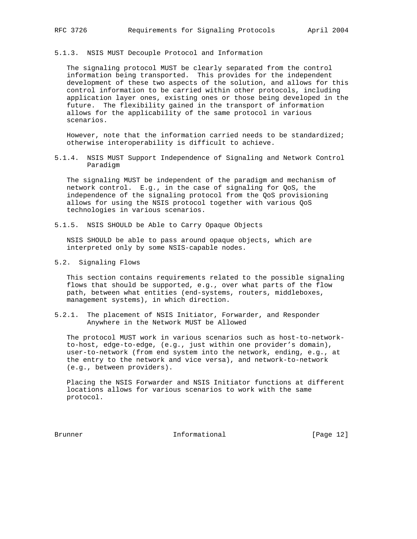5.1.3. NSIS MUST Decouple Protocol and Information

 The signaling protocol MUST be clearly separated from the control information being transported. This provides for the independent development of these two aspects of the solution, and allows for this control information to be carried within other protocols, including application layer ones, existing ones or those being developed in the future. The flexibility gained in the transport of information allows for the applicability of the same protocol in various scenarios.

 However, note that the information carried needs to be standardized; otherwise interoperability is difficult to achieve.

5.1.4. NSIS MUST Support Independence of Signaling and Network Control Paradigm

 The signaling MUST be independent of the paradigm and mechanism of network control. E.g., in the case of signaling for QoS, the independence of the signaling protocol from the QoS provisioning allows for using the NSIS protocol together with various QoS technologies in various scenarios.

5.1.5. NSIS SHOULD be Able to Carry Opaque Objects

 NSIS SHOULD be able to pass around opaque objects, which are interpreted only by some NSIS-capable nodes.

5.2. Signaling Flows

 This section contains requirements related to the possible signaling flows that should be supported, e.g., over what parts of the flow path, between what entities (end-systems, routers, middleboxes, management systems), in which direction.

5.2.1. The placement of NSIS Initiator, Forwarder, and Responder Anywhere in the Network MUST be Allowed

 The protocol MUST work in various scenarios such as host-to-network to-host, edge-to-edge, (e.g., just within one provider's domain), user-to-network (from end system into the network, ending, e.g., at the entry to the network and vice versa), and network-to-network (e.g., between providers).

 Placing the NSIS Forwarder and NSIS Initiator functions at different locations allows for various scenarios to work with the same protocol.

Brunner 10 Informational 100 Page 12]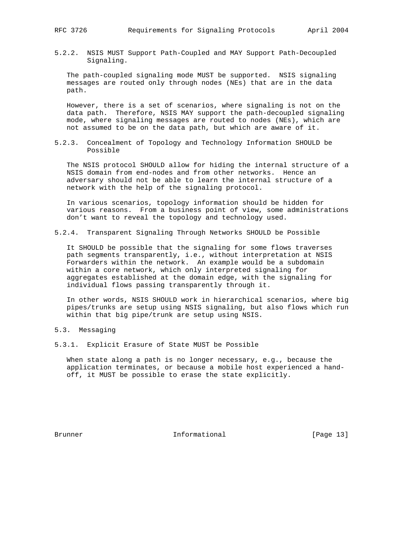5.2.2. NSIS MUST Support Path-Coupled and MAY Support Path-Decoupled Signaling.

 The path-coupled signaling mode MUST be supported. NSIS signaling messages are routed only through nodes (NEs) that are in the data path.

 However, there is a set of scenarios, where signaling is not on the data path. Therefore, NSIS MAY support the path-decoupled signaling mode, where signaling messages are routed to nodes (NEs), which are not assumed to be on the data path, but which are aware of it.

5.2.3. Concealment of Topology and Technology Information SHOULD be Possible

 The NSIS protocol SHOULD allow for hiding the internal structure of a NSIS domain from end-nodes and from other networks. Hence an adversary should not be able to learn the internal structure of a network with the help of the signaling protocol.

 In various scenarios, topology information should be hidden for various reasons. From a business point of view, some administrations don't want to reveal the topology and technology used.

5.2.4. Transparent Signaling Through Networks SHOULD be Possible

 It SHOULD be possible that the signaling for some flows traverses path segments transparently, i.e., without interpretation at NSIS Forwarders within the network. An example would be a subdomain within a core network, which only interpreted signaling for aggregates established at the domain edge, with the signaling for individual flows passing transparently through it.

 In other words, NSIS SHOULD work in hierarchical scenarios, where big pipes/trunks are setup using NSIS signaling, but also flows which run within that big pipe/trunk are setup using NSIS.

## 5.3. Messaging

5.3.1. Explicit Erasure of State MUST be Possible

 When state along a path is no longer necessary, e.g., because the application terminates, or because a mobile host experienced a hand off, it MUST be possible to erase the state explicitly.

Brunner 1. Informational [Page 13]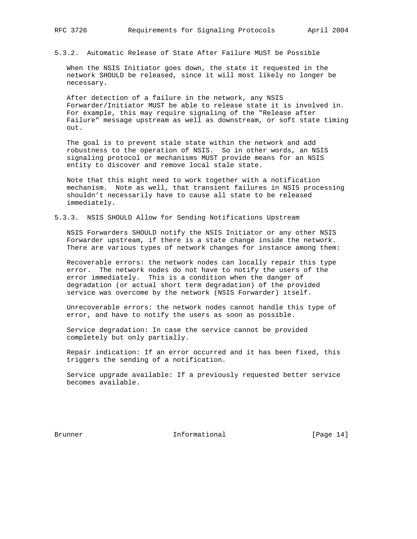5.3.2. Automatic Release of State After Failure MUST be Possible

 When the NSIS Initiator goes down, the state it requested in the network SHOULD be released, since it will most likely no longer be necessary.

 After detection of a failure in the network, any NSIS Forwarder/Initiator MUST be able to release state it is involved in. For example, this may require signaling of the "Release after Failure" message upstream as well as downstream, or soft state timing out.

 The goal is to prevent stale state within the network and add robustness to the operation of NSIS. So in other words, an NSIS signaling protocol or mechanisms MUST provide means for an NSIS entity to discover and remove local stale state.

 Note that this might need to work together with a notification mechanism. Note as well, that transient failures in NSIS processing shouldn't necessarily have to cause all state to be released immediately.

#### 5.3.3. NSIS SHOULD Allow for Sending Notifications Upstream

 NSIS Forwarders SHOULD notify the NSIS Initiator or any other NSIS Forwarder upstream, if there is a state change inside the network. There are various types of network changes for instance among them:

 Recoverable errors: the network nodes can locally repair this type error. The network nodes do not have to notify the users of the error immediately. This is a condition when the danger of degradation (or actual short term degradation) of the provided service was overcome by the network (NSIS Forwarder) itself.

 Unrecoverable errors: the network nodes cannot handle this type of error, and have to notify the users as soon as possible.

 Service degradation: In case the service cannot be provided completely but only partially.

 Repair indication: If an error occurred and it has been fixed, this triggers the sending of a notification.

 Service upgrade available: If a previously requested better service becomes available.

Brunner 1. Informational [Page 14]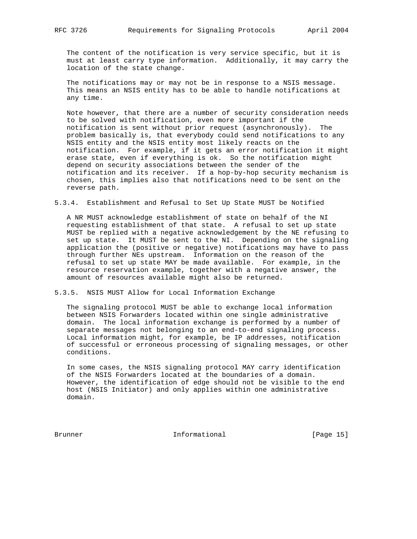The content of the notification is very service specific, but it is must at least carry type information. Additionally, it may carry the location of the state change.

 The notifications may or may not be in response to a NSIS message. This means an NSIS entity has to be able to handle notifications at any time.

 Note however, that there are a number of security consideration needs to be solved with notification, even more important if the notification is sent without prior request (asynchronously). The problem basically is, that everybody could send notifications to any NSIS entity and the NSIS entity most likely reacts on the notification. For example, if it gets an error notification it might erase state, even if everything is ok. So the notification might depend on security associations between the sender of the notification and its receiver. If a hop-by-hop security mechanism is chosen, this implies also that notifications need to be sent on the reverse path.

5.3.4. Establishment and Refusal to Set Up State MUST be Notified

 A NR MUST acknowledge establishment of state on behalf of the NI requesting establishment of that state. A refusal to set up state MUST be replied with a negative acknowledgement by the NE refusing to set up state. It MUST be sent to the NI. Depending on the signaling application the (positive or negative) notifications may have to pass through further NEs upstream. Information on the reason of the refusal to set up state MAY be made available. For example, in the resource reservation example, together with a negative answer, the amount of resources available might also be returned.

5.3.5. NSIS MUST Allow for Local Information Exchange

 The signaling protocol MUST be able to exchange local information between NSIS Forwarders located within one single administrative domain. The local information exchange is performed by a number of separate messages not belonging to an end-to-end signaling process. Local information might, for example, be IP addresses, notification of successful or erroneous processing of signaling messages, or other conditions.

 In some cases, the NSIS signaling protocol MAY carry identification of the NSIS Forwarders located at the boundaries of a domain. However, the identification of edge should not be visible to the end host (NSIS Initiator) and only applies within one administrative domain.

Brunner 15 Informational 1999 [Page 15]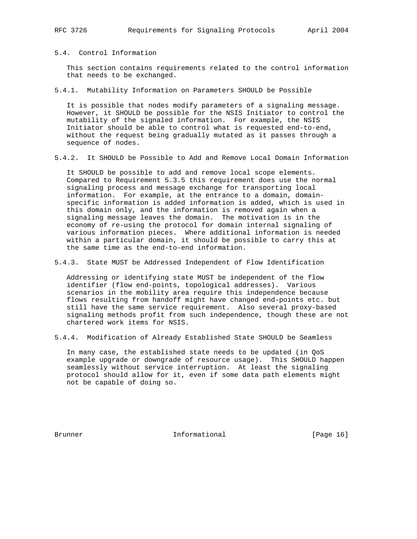5.4. Control Information

 This section contains requirements related to the control information that needs to be exchanged.

5.4.1. Mutability Information on Parameters SHOULD be Possible

 It is possible that nodes modify parameters of a signaling message. However, it SHOULD be possible for the NSIS Initiator to control the mutability of the signaled information. For example, the NSIS Initiator should be able to control what is requested end-to-end, without the request being gradually mutated as it passes through a sequence of nodes.

5.4.2. It SHOULD be Possible to Add and Remove Local Domain Information

 It SHOULD be possible to add and remove local scope elements. Compared to Requirement 5.3.5 this requirement does use the normal signaling process and message exchange for transporting local information. For example, at the entrance to a domain, domain specific information is added information is added, which is used in this domain only, and the information is removed again when a signaling message leaves the domain. The motivation is in the economy of re-using the protocol for domain internal signaling of various information pieces. Where additional information is needed within a particular domain, it should be possible to carry this at the same time as the end-to-end information.

5.4.3. State MUST be Addressed Independent of Flow Identification

 Addressing or identifying state MUST be independent of the flow identifier (flow end-points, topological addresses). Various scenarios in the mobility area require this independence because flows resulting from handoff might have changed end-points etc. but still have the same service requirement. Also several proxy-based signaling methods profit from such independence, though these are not chartered work items for NSIS.

5.4.4. Modification of Already Established State SHOULD be Seamless

 In many case, the established state needs to be updated (in QoS example upgrade or downgrade of resource usage). This SHOULD happen seamlessly without service interruption. At least the signaling protocol should allow for it, even if some data path elements might not be capable of doing so.

Brunner 10 1nformational [Page 16]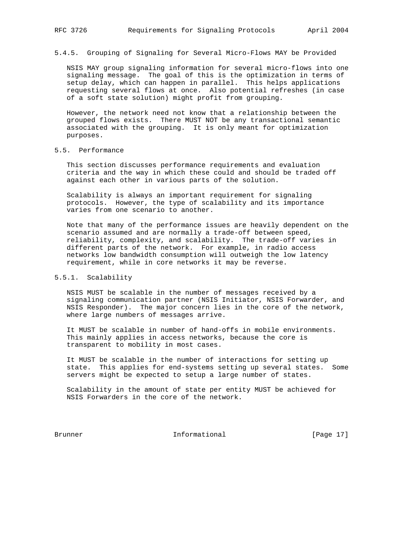5.4.5. Grouping of Signaling for Several Micro-Flows MAY be Provided

 NSIS MAY group signaling information for several micro-flows into one signaling message. The goal of this is the optimization in terms of setup delay, which can happen in parallel. This helps applications requesting several flows at once. Also potential refreshes (in case of a soft state solution) might profit from grouping.

 However, the network need not know that a relationship between the grouped flows exists. There MUST NOT be any transactional semantic associated with the grouping. It is only meant for optimization purposes.

## 5.5. Performance

 This section discusses performance requirements and evaluation criteria and the way in which these could and should be traded off against each other in various parts of the solution.

 Scalability is always an important requirement for signaling protocols. However, the type of scalability and its importance varies from one scenario to another.

 Note that many of the performance issues are heavily dependent on the scenario assumed and are normally a trade-off between speed, reliability, complexity, and scalability. The trade-off varies in different parts of the network. For example, in radio access networks low bandwidth consumption will outweigh the low latency requirement, while in core networks it may be reverse.

## 5.5.1. Scalability

 NSIS MUST be scalable in the number of messages received by a signaling communication partner (NSIS Initiator, NSIS Forwarder, and NSIS Responder). The major concern lies in the core of the network, where large numbers of messages arrive.

 It MUST be scalable in number of hand-offs in mobile environments. This mainly applies in access networks, because the core is transparent to mobility in most cases.

 It MUST be scalable in the number of interactions for setting up state. This applies for end-systems setting up several states. Some servers might be expected to setup a large number of states.

 Scalability in the amount of state per entity MUST be achieved for NSIS Forwarders in the core of the network.

Brunner 10 Informational 100 Page 17]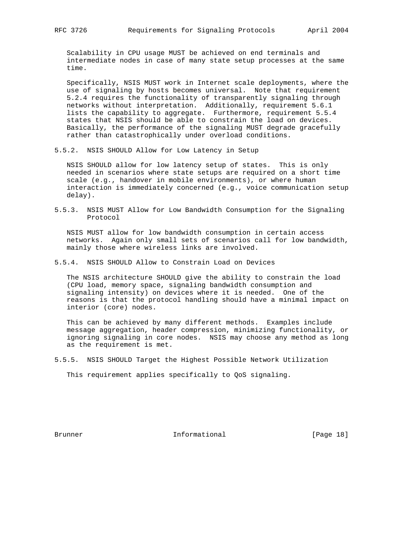Scalability in CPU usage MUST be achieved on end terminals and intermediate nodes in case of many state setup processes at the same time.

 Specifically, NSIS MUST work in Internet scale deployments, where the use of signaling by hosts becomes universal. Note that requirement 5.2.4 requires the functionality of transparently signaling through networks without interpretation. Additionally, requirement 5.6.1 lists the capability to aggregate. Furthermore, requirement 5.5.4 states that NSIS should be able to constrain the load on devices. Basically, the performance of the signaling MUST degrade gracefully rather than catastrophically under overload conditions.

5.5.2. NSIS SHOULD Allow for Low Latency in Setup

 NSIS SHOULD allow for low latency setup of states. This is only needed in scenarios where state setups are required on a short time scale (e.g., handover in mobile environments), or where human interaction is immediately concerned (e.g., voice communication setup delay).

5.5.3. NSIS MUST Allow for Low Bandwidth Consumption for the Signaling Protocol

 NSIS MUST allow for low bandwidth consumption in certain access networks. Again only small sets of scenarios call for low bandwidth, mainly those where wireless links are involved.

5.5.4. NSIS SHOULD Allow to Constrain Load on Devices

 The NSIS architecture SHOULD give the ability to constrain the load (CPU load, memory space, signaling bandwidth consumption and signaling intensity) on devices where it is needed. One of the reasons is that the protocol handling should have a minimal impact on interior (core) nodes.

 This can be achieved by many different methods. Examples include message aggregation, header compression, minimizing functionality, or ignoring signaling in core nodes. NSIS may choose any method as long as the requirement is met.

5.5.5. NSIS SHOULD Target the Highest Possible Network Utilization

This requirement applies specifically to QoS signaling.

Brunner 1. Informational [Page 18]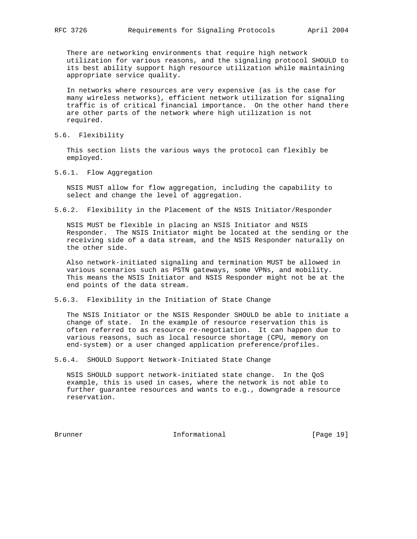There are networking environments that require high network utilization for various reasons, and the signaling protocol SHOULD to its best ability support high resource utilization while maintaining appropriate service quality.

 In networks where resources are very expensive (as is the case for many wireless networks), efficient network utilization for signaling traffic is of critical financial importance. On the other hand there are other parts of the network where high utilization is not required.

5.6. Flexibility

 This section lists the various ways the protocol can flexibly be employed.

5.6.1. Flow Aggregation

 NSIS MUST allow for flow aggregation, including the capability to select and change the level of aggregation.

5.6.2. Flexibility in the Placement of the NSIS Initiator/Responder

 NSIS MUST be flexible in placing an NSIS Initiator and NSIS Responder. The NSIS Initiator might be located at the sending or the receiving side of a data stream, and the NSIS Responder naturally on the other side.

 Also network-initiated signaling and termination MUST be allowed in various scenarios such as PSTN gateways, some VPNs, and mobility. This means the NSIS Initiator and NSIS Responder might not be at the end points of the data stream.

5.6.3. Flexibility in the Initiation of State Change

 The NSIS Initiator or the NSIS Responder SHOULD be able to initiate a change of state. In the example of resource reservation this is often referred to as resource re-negotiation. It can happen due to various reasons, such as local resource shortage (CPU, memory on end-system) or a user changed application preference/profiles.

5.6.4. SHOULD Support Network-Initiated State Change

 NSIS SHOULD support network-initiated state change. In the QoS example, this is used in cases, where the network is not able to further guarantee resources and wants to e.g., downgrade a resource reservation.

Brunner 10 Informational 100 Page 19]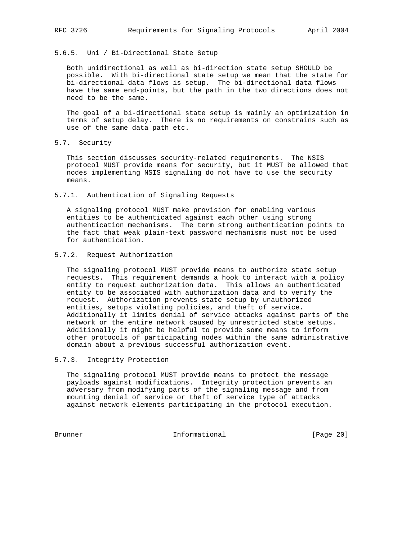## 5.6.5. Uni / Bi-Directional State Setup

 Both unidirectional as well as bi-direction state setup SHOULD be possible. With bi-directional state setup we mean that the state for bi-directional data flows is setup. The bi-directional data flows have the same end-points, but the path in the two directions does not need to be the same.

 The goal of a bi-directional state setup is mainly an optimization in terms of setup delay. There is no requirements on constrains such as use of the same data path etc.

5.7. Security

 This section discusses security-related requirements. The NSIS protocol MUST provide means for security, but it MUST be allowed that nodes implementing NSIS signaling do not have to use the security means.

5.7.1. Authentication of Signaling Requests

 A signaling protocol MUST make provision for enabling various entities to be authenticated against each other using strong authentication mechanisms. The term strong authentication points to the fact that weak plain-text password mechanisms must not be used for authentication.

# 5.7.2. Request Authorization

 The signaling protocol MUST provide means to authorize state setup requests. This requirement demands a hook to interact with a policy entity to request authorization data. This allows an authenticated entity to be associated with authorization data and to verify the request. Authorization prevents state setup by unauthorized entities, setups violating policies, and theft of service. Additionally it limits denial of service attacks against parts of the network or the entire network caused by unrestricted state setups. Additionally it might be helpful to provide some means to inform other protocols of participating nodes within the same administrative domain about a previous successful authorization event.

#### 5.7.3. Integrity Protection

 The signaling protocol MUST provide means to protect the message payloads against modifications. Integrity protection prevents an adversary from modifying parts of the signaling message and from mounting denial of service or theft of service type of attacks against network elements participating in the protocol execution.

Brunner 10 Informational 100 Page 20]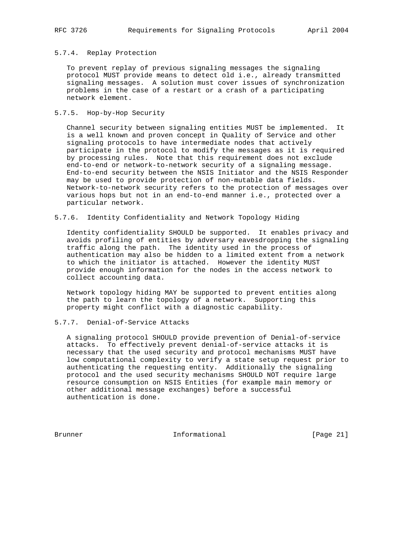## 5.7.4. Replay Protection

 To prevent replay of previous signaling messages the signaling protocol MUST provide means to detect old i.e., already transmitted signaling messages. A solution must cover issues of synchronization problems in the case of a restart or a crash of a participating network element.

## 5.7.5. Hop-by-Hop Security

 Channel security between signaling entities MUST be implemented. It is a well known and proven concept in Quality of Service and other signaling protocols to have intermediate nodes that actively participate in the protocol to modify the messages as it is required by processing rules. Note that this requirement does not exclude end-to-end or network-to-network security of a signaling message. End-to-end security between the NSIS Initiator and the NSIS Responder may be used to provide protection of non-mutable data fields. Network-to-network security refers to the protection of messages over various hops but not in an end-to-end manner i.e., protected over a particular network.

### 5.7.6. Identity Confidentiality and Network Topology Hiding

 Identity confidentiality SHOULD be supported. It enables privacy and avoids profiling of entities by adversary eavesdropping the signaling traffic along the path. The identity used in the process of authentication may also be hidden to a limited extent from a network to which the initiator is attached. However the identity MUST provide enough information for the nodes in the access network to collect accounting data.

 Network topology hiding MAY be supported to prevent entities along the path to learn the topology of a network. Supporting this property might conflict with a diagnostic capability.

# 5.7.7. Denial-of-Service Attacks

 A signaling protocol SHOULD provide prevention of Denial-of-service attacks. To effectively prevent denial-of-service attacks it is necessary that the used security and protocol mechanisms MUST have low computational complexity to verify a state setup request prior to authenticating the requesting entity. Additionally the signaling protocol and the used security mechanisms SHOULD NOT require large resource consumption on NSIS Entities (for example main memory or other additional message exchanges) before a successful authentication is done.

Brunner 10 1nformational [Page 21]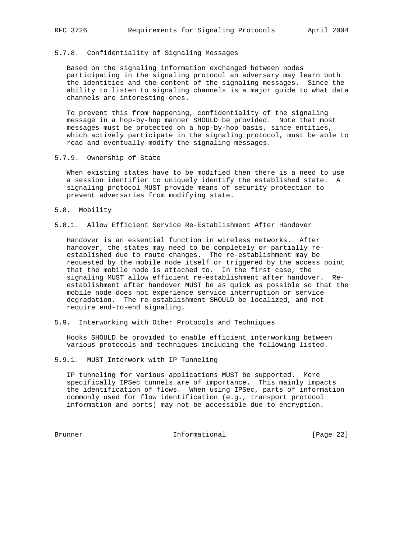## 5.7.8. Confidentiality of Signaling Messages

 Based on the signaling information exchanged between nodes participating in the signaling protocol an adversary may learn both the identities and the content of the signaling messages. Since the ability to listen to signaling channels is a major guide to what data channels are interesting ones.

 To prevent this from happening, confidentiality of the signaling message in a hop-by-hop manner SHOULD be provided. Note that most messages must be protected on a hop-by-hop basis, since entities, which actively participate in the signaling protocol, must be able to read and eventually modify the signaling messages.

5.7.9. Ownership of State

 When existing states have to be modified then there is a need to use a session identifier to uniquely identify the established state. A signaling protocol MUST provide means of security protection to prevent adversaries from modifying state.

- 5.8. Mobility
- 5.8.1. Allow Efficient Service Re-Establishment After Handover

 Handover is an essential function in wireless networks. After handover, the states may need to be completely or partially re established due to route changes. The re-establishment may be requested by the mobile node itself or triggered by the access point that the mobile node is attached to. In the first case, the signaling MUST allow efficient re-establishment after handover. Re establishment after handover MUST be as quick as possible so that the mobile node does not experience service interruption or service degradation. The re-establishment SHOULD be localized, and not require end-to-end signaling.

5.9. Interworking with Other Protocols and Techniques

 Hooks SHOULD be provided to enable efficient interworking between various protocols and techniques including the following listed.

5.9.1. MUST Interwork with IP Tunneling

 IP tunneling for various applications MUST be supported. More specifically IPSec tunnels are of importance. This mainly impacts the identification of flows. When using IPSec, parts of information commonly used for flow identification (e.g., transport protocol information and ports) may not be accessible due to encryption.

Brunner 10 Informational 100 Page 22]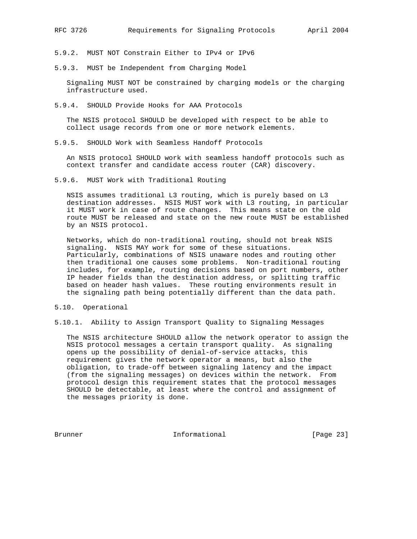5.9.2. MUST NOT Constrain Either to IPv4 or IPv6

5.9.3. MUST be Independent from Charging Model

 Signaling MUST NOT be constrained by charging models or the charging infrastructure used.

5.9.4. SHOULD Provide Hooks for AAA Protocols

 The NSIS protocol SHOULD be developed with respect to be able to collect usage records from one or more network elements.

5.9.5. SHOULD Work with Seamless Handoff Protocols

 An NSIS protocol SHOULD work with seamless handoff protocols such as context transfer and candidate access router (CAR) discovery.

5.9.6. MUST Work with Traditional Routing

 NSIS assumes traditional L3 routing, which is purely based on L3 destination addresses. NSIS MUST work with L3 routing, in particular it MUST work in case of route changes. This means state on the old route MUST be released and state on the new route MUST be established by an NSIS protocol.

 Networks, which do non-traditional routing, should not break NSIS signaling. NSIS MAY work for some of these situations. Particularly, combinations of NSIS unaware nodes and routing other then traditional one causes some problems. Non-traditional routing includes, for example, routing decisions based on port numbers, other IP header fields than the destination address, or splitting traffic based on header hash values. These routing environments result in the signaling path being potentially different than the data path.

- 5.10. Operational
- 5.10.1. Ability to Assign Transport Quality to Signaling Messages

 The NSIS architecture SHOULD allow the network operator to assign the NSIS protocol messages a certain transport quality. As signaling opens up the possibility of denial-of-service attacks, this requirement gives the network operator a means, but also the obligation, to trade-off between signaling latency and the impact (from the signaling messages) on devices within the network. From protocol design this requirement states that the protocol messages SHOULD be detectable, at least where the control and assignment of the messages priority is done.

Brunner 11 Informational [Page 23]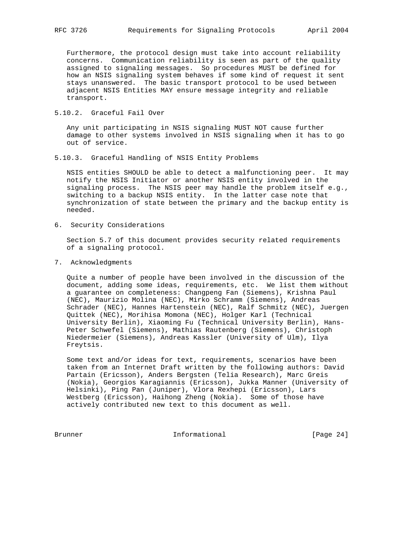Furthermore, the protocol design must take into account reliability concerns. Communication reliability is seen as part of the quality assigned to signaling messages. So procedures MUST be defined for how an NSIS signaling system behaves if some kind of request it sent stays unanswered. The basic transport protocol to be used between adjacent NSIS Entities MAY ensure message integrity and reliable transport.

5.10.2. Graceful Fail Over

 Any unit participating in NSIS signaling MUST NOT cause further damage to other systems involved in NSIS signaling when it has to go out of service.

5.10.3. Graceful Handling of NSIS Entity Problems

 NSIS entities SHOULD be able to detect a malfunctioning peer. It may notify the NSIS Initiator or another NSIS entity involved in the signaling process. The NSIS peer may handle the problem itself e.g., switching to a backup NSIS entity. In the latter case note that synchronization of state between the primary and the backup entity is needed.

6. Security Considerations

 Section 5.7 of this document provides security related requirements of a signaling protocol.

7. Acknowledgments

 Quite a number of people have been involved in the discussion of the document, adding some ideas, requirements, etc. We list them without a guarantee on completeness: Changpeng Fan (Siemens), Krishna Paul (NEC), Maurizio Molina (NEC), Mirko Schramm (Siemens), Andreas Schrader (NEC), Hannes Hartenstein (NEC), Ralf Schmitz (NEC), Juergen Quittek (NEC), Morihisa Momona (NEC), Holger Karl (Technical University Berlin), Xiaoming Fu (Technical University Berlin), Hans- Peter Schwefel (Siemens), Mathias Rautenberg (Siemens), Christoph Niedermeier (Siemens), Andreas Kassler (University of Ulm), Ilya Freytsis.

 Some text and/or ideas for text, requirements, scenarios have been taken from an Internet Draft written by the following authors: David Partain (Ericsson), Anders Bergsten (Telia Research), Marc Greis (Nokia), Georgios Karagiannis (Ericsson), Jukka Manner (University of Helsinki), Ping Pan (Juniper), Vlora Rexhepi (Ericsson), Lars Westberg (Ericsson), Haihong Zheng (Nokia). Some of those have actively contributed new text to this document as well.

Brunner 10 Informational 100 Informational [Page 24]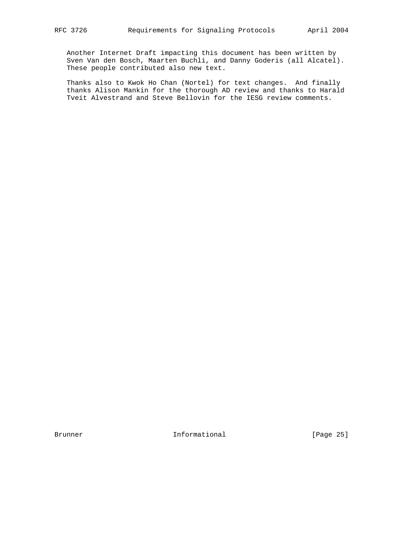Another Internet Draft impacting this document has been written by Sven Van den Bosch, Maarten Buchli, and Danny Goderis (all Alcatel). These people contributed also new text.

 Thanks also to Kwok Ho Chan (Nortel) for text changes. And finally thanks Alison Mankin for the thorough AD review and thanks to Harald Tveit Alvestrand and Steve Bellovin for the IESG review comments.

Brunner Informational [Page 25]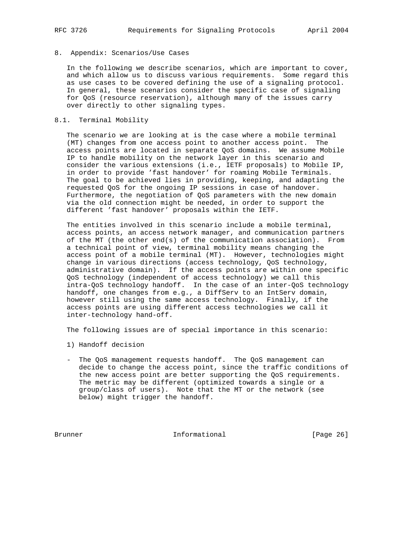## 8. Appendix: Scenarios/Use Cases

 In the following we describe scenarios, which are important to cover, and which allow us to discuss various requirements. Some regard this as use cases to be covered defining the use of a signaling protocol. In general, these scenarios consider the specific case of signaling for QoS (resource reservation), although many of the issues carry over directly to other signaling types.

## 8.1. Terminal Mobility

 The scenario we are looking at is the case where a mobile terminal (MT) changes from one access point to another access point. The access points are located in separate QoS domains. We assume Mobile IP to handle mobility on the network layer in this scenario and consider the various extensions (i.e., IETF proposals) to Mobile IP, in order to provide 'fast handover' for roaming Mobile Terminals. The goal to be achieved lies in providing, keeping, and adapting the requested QoS for the ongoing IP sessions in case of handover. Furthermore, the negotiation of QoS parameters with the new domain via the old connection might be needed, in order to support the different 'fast handover' proposals within the IETF.

 The entities involved in this scenario include a mobile terminal, access points, an access network manager, and communication partners of the MT (the other end(s) of the communication association). From a technical point of view, terminal mobility means changing the access point of a mobile terminal (MT). However, technologies might change in various directions (access technology, QoS technology, administrative domain). If the access points are within one specific QoS technology (independent of access technology) we call this intra-QoS technology handoff. In the case of an inter-QoS technology handoff, one changes from e.g., a DiffServ to an IntServ domain, however still using the same access technology. Finally, if the access points are using different access technologies we call it inter-technology hand-off.

The following issues are of special importance in this scenario:

- 1) Handoff decision
- The QoS management requests handoff. The QoS management can decide to change the access point, since the traffic conditions of the new access point are better supporting the QoS requirements. The metric may be different (optimized towards a single or a group/class of users). Note that the MT or the network (see below) might trigger the handoff.

Brunner 10 Informational 100 Page 26]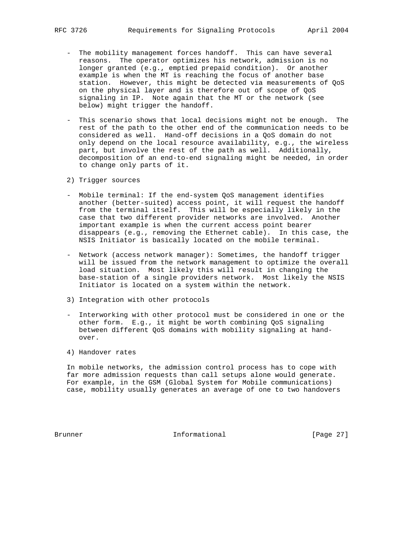- The mobility management forces handoff. This can have several reasons. The operator optimizes his network, admission is no longer granted (e.g., emptied prepaid condition). Or another example is when the MT is reaching the focus of another base station. However, this might be detected via measurements of QoS on the physical layer and is therefore out of scope of QoS signaling in IP. Note again that the MT or the network (see below) might trigger the handoff.
- This scenario shows that local decisions might not be enough. The rest of the path to the other end of the communication needs to be considered as well. Hand-off decisions in a QoS domain do not only depend on the local resource availability, e.g., the wireless part, but involve the rest of the path as well. Additionally, decomposition of an end-to-end signaling might be needed, in order to change only parts of it.
- 2) Trigger sources
- Mobile terminal: If the end-system QoS management identifies another (better-suited) access point, it will request the handoff from the terminal itself. This will be especially likely in the case that two different provider networks are involved. Another important example is when the current access point bearer disappears (e.g., removing the Ethernet cable). In this case, the NSIS Initiator is basically located on the mobile terminal.
- Network (access network manager): Sometimes, the handoff trigger will be issued from the network management to optimize the overall load situation. Most likely this will result in changing the base-station of a single providers network. Most likely the NSIS Initiator is located on a system within the network.
- 3) Integration with other protocols
- Interworking with other protocol must be considered in one or the other form. E.g., it might be worth combining QoS signaling between different QoS domains with mobility signaling at hand over.
- 4) Handover rates

 In mobile networks, the admission control process has to cope with far more admission requests than call setups alone would generate. For example, in the GSM (Global System for Mobile communications) case, mobility usually generates an average of one to two handovers

Brunner 1. Informational [Page 27]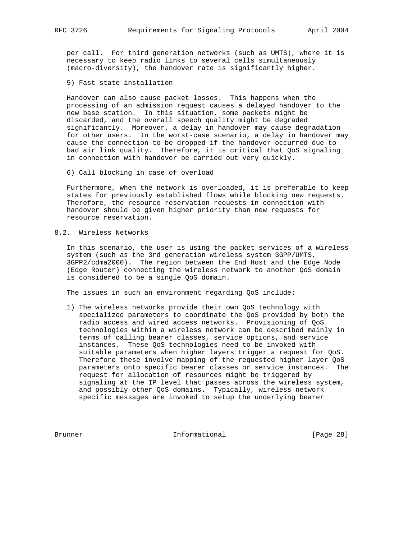per call. For third generation networks (such as UMTS), where it is necessary to keep radio links to several cells simultaneously (macro-diversity), the handover rate is significantly higher.

5) Fast state installation

 Handover can also cause packet losses. This happens when the processing of an admission request causes a delayed handover to the new base station. In this situation, some packets might be discarded, and the overall speech quality might be degraded significantly. Moreover, a delay in handover may cause degradation for other users. In the worst-case scenario, a delay in handover may cause the connection to be dropped if the handover occurred due to bad air link quality. Therefore, it is critical that QoS signaling in connection with handover be carried out very quickly.

6) Call blocking in case of overload

 Furthermore, when the network is overloaded, it is preferable to keep states for previously established flows while blocking new requests. Therefore, the resource reservation requests in connection with handover should be given higher priority than new requests for resource reservation.

8.2. Wireless Networks

 In this scenario, the user is using the packet services of a wireless system (such as the 3rd generation wireless system 3GPP/UMTS, 3GPP2/cdma2000). The region between the End Host and the Edge Node (Edge Router) connecting the wireless network to another QoS domain is considered to be a single QoS domain.

The issues in such an environment regarding QoS include:

 1) The wireless networks provide their own QoS technology with specialized parameters to coordinate the QoS provided by both the radio access and wired access networks. Provisioning of QoS technologies within a wireless network can be described mainly in terms of calling bearer classes, service options, and service instances. These QoS technologies need to be invoked with suitable parameters when higher layers trigger a request for QoS. Therefore these involve mapping of the requested higher layer QoS parameters onto specific bearer classes or service instances. The request for allocation of resources might be triggered by signaling at the IP level that passes across the wireless system, and possibly other QoS domains. Typically, wireless network specific messages are invoked to setup the underlying bearer

Brunner 10 Informational 100 Page 28]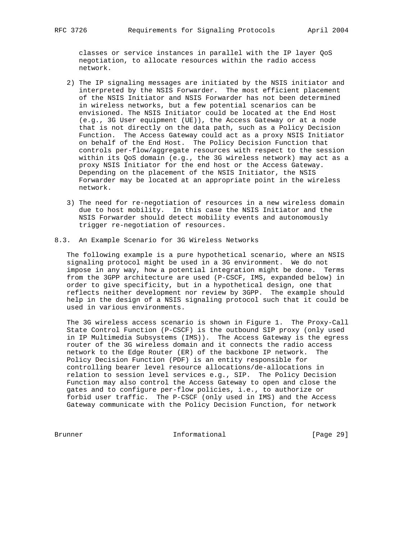classes or service instances in parallel with the IP layer QoS negotiation, to allocate resources within the radio access network.

- 2) The IP signaling messages are initiated by the NSIS initiator and interpreted by the NSIS Forwarder. The most efficient placement of the NSIS Initiator and NSIS Forwarder has not been determined in wireless networks, but a few potential scenarios can be envisioned. The NSIS Initiator could be located at the End Host (e.g., 3G User equipment (UE)), the Access Gateway or at a node that is not directly on the data path, such as a Policy Decision Function. The Access Gateway could act as a proxy NSIS Initiator on behalf of the End Host. The Policy Decision Function that controls per-flow/aggregate resources with respect to the session within its QoS domain (e.g., the 3G wireless network) may act as a proxy NSIS Initiator for the end host or the Access Gateway. Depending on the placement of the NSIS Initiator, the NSIS Forwarder may be located at an appropriate point in the wireless network.
- 3) The need for re-negotiation of resources in a new wireless domain due to host mobility. In this case the NSIS Initiator and the NSIS Forwarder should detect mobility events and autonomously trigger re-negotiation of resources.
- 8.3. An Example Scenario for 3G Wireless Networks

 The following example is a pure hypothetical scenario, where an NSIS signaling protocol might be used in a 3G environment. We do not impose in any way, how a potential integration might be done. Terms from the 3GPP architecture are used (P-CSCF, IMS, expanded below) in order to give specificity, but in a hypothetical design, one that reflects neither development nor review by 3GPP. The example should help in the design of a NSIS signaling protocol such that it could be used in various environments.

 The 3G wireless access scenario is shown in Figure 1. The Proxy-Call State Control Function (P-CSCF) is the outbound SIP proxy (only used in IP Multimedia Subsystems (IMS)). The Access Gateway is the egress router of the 3G wireless domain and it connects the radio access network to the Edge Router (ER) of the backbone IP network. The Policy Decision Function (PDF) is an entity responsible for controlling bearer level resource allocations/de-allocations in relation to session level services e.g., SIP. The Policy Decision Function may also control the Access Gateway to open and close the gates and to configure per-flow policies, i.e., to authorize or forbid user traffic. The P-CSCF (only used in IMS) and the Access Gateway communicate with the Policy Decision Function, for network

Brunner 10 Informational 100 Page 29]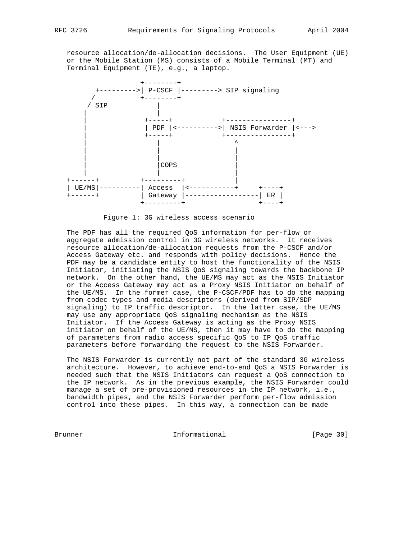resource allocation/de-allocation decisions. The User Equipment (UE) or the Mobile Station (MS) consists of a Mobile Terminal (MT) and Terminal Equipment (TE), e.g., a laptop.



Figure 1: 3G wireless access scenario

 The PDF has all the required QoS information for per-flow or aggregate admission control in 3G wireless networks. It receives resource allocation/de-allocation requests from the P-CSCF and/or Access Gateway etc. and responds with policy decisions. Hence the PDF may be a candidate entity to host the functionality of the NSIS Initiator, initiating the NSIS QoS signaling towards the backbone IP network. On the other hand, the UE/MS may act as the NSIS Initiator or the Access Gateway may act as a Proxy NSIS Initiator on behalf of the UE/MS. In the former case, the P-CSCF/PDF has to do the mapping from codec types and media descriptors (derived from SIP/SDP signaling) to IP traffic descriptor. In the latter case, the UE/MS may use any appropriate QoS signaling mechanism as the NSIS Initiator. If the Access Gateway is acting as the Proxy NSIS initiator on behalf of the UE/MS, then it may have to do the mapping of parameters from radio access specific QoS to IP QoS traffic parameters before forwarding the request to the NSIS Forwarder.

 The NSIS Forwarder is currently not part of the standard 3G wireless architecture. However, to achieve end-to-end QoS a NSIS Forwarder is needed such that the NSIS Initiators can request a QoS connection to the IP network. As in the previous example, the NSIS Forwarder could manage a set of pre-provisioned resources in the IP network, i.e., bandwidth pipes, and the NSIS Forwarder perform per-flow admission control into these pipes. In this way, a connection can be made

Brunner 1. Informational 1. The Informational (Page 30)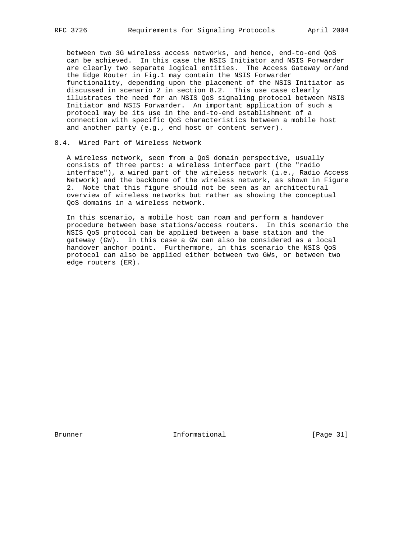between two 3G wireless access networks, and hence, end-to-end QoS can be achieved. In this case the NSIS Initiator and NSIS Forwarder are clearly two separate logical entities. The Access Gateway or/and the Edge Router in Fig.1 may contain the NSIS Forwarder functionality, depending upon the placement of the NSIS Initiator as discussed in scenario 2 in section 8.2. This use case clearly illustrates the need for an NSIS QoS signaling protocol between NSIS Initiator and NSIS Forwarder. An important application of such a protocol may be its use in the end-to-end establishment of a connection with specific QoS characteristics between a mobile host and another party (e.g., end host or content server).

## 8.4. Wired Part of Wireless Network

 A wireless network, seen from a QoS domain perspective, usually consists of three parts: a wireless interface part (the "radio interface"), a wired part of the wireless network (i.e., Radio Access Network) and the backbone of the wireless network, as shown in Figure 2. Note that this figure should not be seen as an architectural overview of wireless networks but rather as showing the conceptual QoS domains in a wireless network.

 In this scenario, a mobile host can roam and perform a handover procedure between base stations/access routers. In this scenario the NSIS QoS protocol can be applied between a base station and the gateway (GW). In this case a GW can also be considered as a local handover anchor point. Furthermore, in this scenario the NSIS QoS protocol can also be applied either between two GWs, or between two edge routers (ER).

Brunner 1. Informational [Page 31]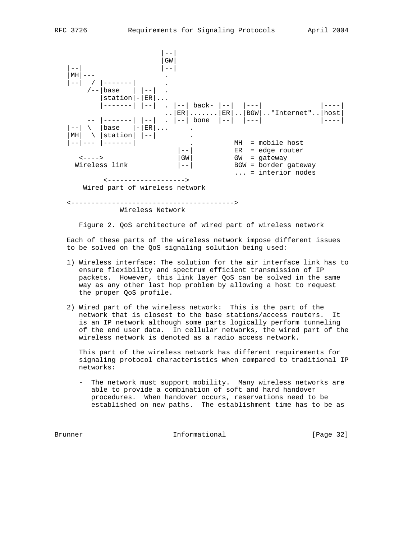

Wireless Network

Figure 2. QoS architecture of wired part of wireless network

 Each of these parts of the wireless network impose different issues to be solved on the QoS signaling solution being used:

- 1) Wireless interface: The solution for the air interface link has to ensure flexibility and spectrum efficient transmission of IP packets. However, this link layer QoS can be solved in the same way as any other last hop problem by allowing a host to request the proper QoS profile.
- 2) Wired part of the wireless network: This is the part of the network that is closest to the base stations/access routers. It is an IP network although some parts logically perform tunneling of the end user data. In cellular networks, the wired part of the wireless network is denoted as a radio access network.

 This part of the wireless network has different requirements for signaling protocol characteristics when compared to traditional IP networks:

 - The network must support mobility. Many wireless networks are able to provide a combination of soft and hard handover procedures. When handover occurs, reservations need to be established on new paths. The establishment time has to be as

Brunner 1. Informational [Page 32]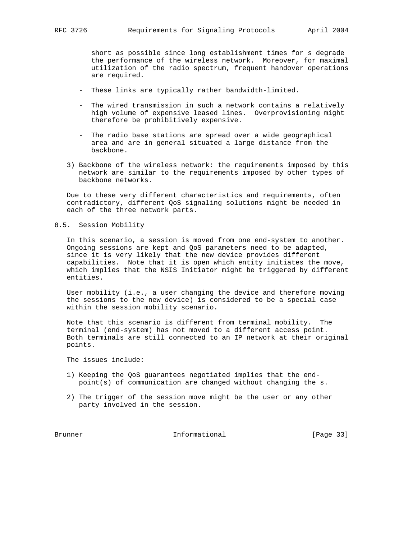short as possible since long establishment times for s degrade the performance of the wireless network. Moreover, for maximal utilization of the radio spectrum, frequent handover operations are required.

- These links are typically rather bandwidth-limited.
- The wired transmission in such a network contains a relatively high volume of expensive leased lines. Overprovisioning might therefore be prohibitively expensive.
- The radio base stations are spread over a wide geographical area and are in general situated a large distance from the backbone.
- 3) Backbone of the wireless network: the requirements imposed by this network are similar to the requirements imposed by other types of backbone networks.

 Due to these very different characteristics and requirements, often contradictory, different QoS signaling solutions might be needed in each of the three network parts.

#### 8.5. Session Mobility

 In this scenario, a session is moved from one end-system to another. Ongoing sessions are kept and QoS parameters need to be adapted, since it is very likely that the new device provides different capabilities. Note that it is open which entity initiates the move, which implies that the NSIS Initiator might be triggered by different entities.

 User mobility (i.e., a user changing the device and therefore moving the sessions to the new device) is considered to be a special case within the session mobility scenario.

 Note that this scenario is different from terminal mobility. The terminal (end-system) has not moved to a different access point. Both terminals are still connected to an IP network at their original points.

The issues include:

- 1) Keeping the QoS guarantees negotiated implies that the end point(s) of communication are changed without changing the s.
- 2) The trigger of the session move might be the user or any other party involved in the session.

Brunner 10 Informational 100 Page 33]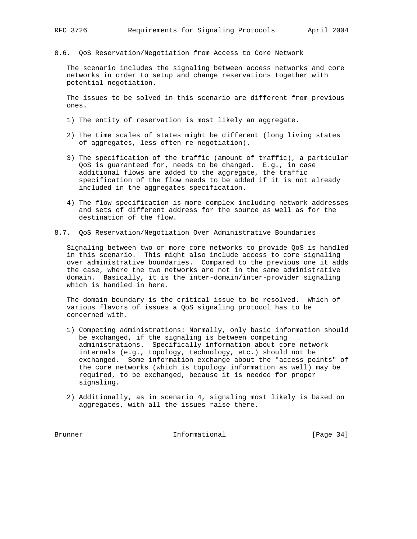8.6. QoS Reservation/Negotiation from Access to Core Network

 The scenario includes the signaling between access networks and core networks in order to setup and change reservations together with potential negotiation.

 The issues to be solved in this scenario are different from previous ones.

- 1) The entity of reservation is most likely an aggregate.
- 2) The time scales of states might be different (long living states of aggregates, less often re-negotiation).
- 3) The specification of the traffic (amount of traffic), a particular QoS is guaranteed for, needs to be changed. E.g., in case additional flows are added to the aggregate, the traffic specification of the flow needs to be added if it is not already included in the aggregates specification.
- 4) The flow specification is more complex including network addresses and sets of different address for the source as well as for the destination of the flow.
- 8.7. QoS Reservation/Negotiation Over Administrative Boundaries

 Signaling between two or more core networks to provide QoS is handled in this scenario. This might also include access to core signaling over administrative boundaries. Compared to the previous one it adds the case, where the two networks are not in the same administrative domain. Basically, it is the inter-domain/inter-provider signaling which is handled in here.

 The domain boundary is the critical issue to be resolved. Which of various flavors of issues a QoS signaling protocol has to be concerned with.

- 1) Competing administrations: Normally, only basic information should be exchanged, if the signaling is between competing administrations. Specifically information about core network internals (e.g., topology, technology, etc.) should not be exchanged. Some information exchange about the "access points" of the core networks (which is topology information as well) may be required, to be exchanged, because it is needed for proper signaling.
- 2) Additionally, as in scenario 4, signaling most likely is based on aggregates, with all the issues raise there.

Brunner Informational [Page 34]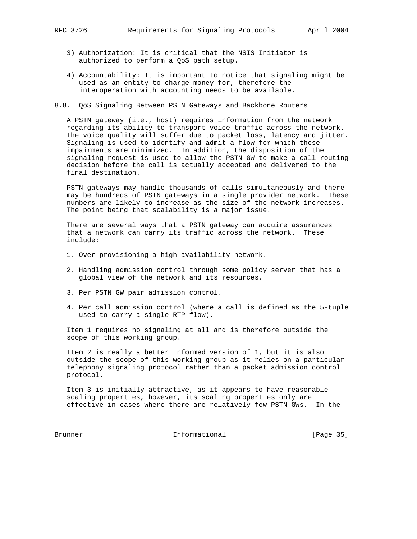- - 3) Authorization: It is critical that the NSIS Initiator is authorized to perform a QoS path setup.
	- 4) Accountability: It is important to notice that signaling might be used as an entity to charge money for, therefore the interoperation with accounting needs to be available.
- 8.8. QoS Signaling Between PSTN Gateways and Backbone Routers

 A PSTN gateway (i.e., host) requires information from the network regarding its ability to transport voice traffic across the network. The voice quality will suffer due to packet loss, latency and jitter. Signaling is used to identify and admit a flow for which these impairments are minimized. In addition, the disposition of the signaling request is used to allow the PSTN GW to make a call routing decision before the call is actually accepted and delivered to the final destination.

 PSTN gateways may handle thousands of calls simultaneously and there may be hundreds of PSTN gateways in a single provider network. These numbers are likely to increase as the size of the network increases. The point being that scalability is a major issue.

 There are several ways that a PSTN gateway can acquire assurances that a network can carry its traffic across the network. These include:

- 1. Over-provisioning a high availability network.
- 2. Handling admission control through some policy server that has a global view of the network and its resources.
- 3. Per PSTN GW pair admission control.
- 4. Per call admission control (where a call is defined as the 5-tuple used to carry a single RTP flow).

 Item 1 requires no signaling at all and is therefore outside the scope of this working group.

 Item 2 is really a better informed version of 1, but it is also outside the scope of this working group as it relies on a particular telephony signaling protocol rather than a packet admission control protocol.

 Item 3 is initially attractive, as it appears to have reasonable scaling properties, however, its scaling properties only are effective in cases where there are relatively few PSTN GWs. In the

Brunner Informational [Page 35]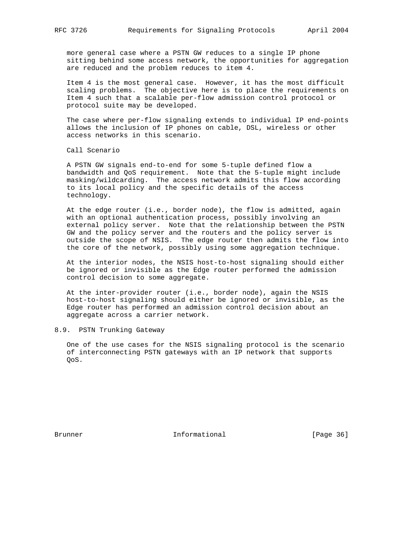more general case where a PSTN GW reduces to a single IP phone sitting behind some access network, the opportunities for aggregation are reduced and the problem reduces to item 4.

 Item 4 is the most general case. However, it has the most difficult scaling problems. The objective here is to place the requirements on Item 4 such that a scalable per-flow admission control protocol or protocol suite may be developed.

 The case where per-flow signaling extends to individual IP end-points allows the inclusion of IP phones on cable, DSL, wireless or other access networks in this scenario.

Call Scenario

 A PSTN GW signals end-to-end for some 5-tuple defined flow a bandwidth and QoS requirement. Note that the 5-tuple might include masking/wildcarding. The access network admits this flow according to its local policy and the specific details of the access technology.

 At the edge router (i.e., border node), the flow is admitted, again with an optional authentication process, possibly involving an external policy server. Note that the relationship between the PSTN GW and the policy server and the routers and the policy server is outside the scope of NSIS. The edge router then admits the flow into the core of the network, possibly using some aggregation technique.

 At the interior nodes, the NSIS host-to-host signaling should either be ignored or invisible as the Edge router performed the admission control decision to some aggregate.

 At the inter-provider router (i.e., border node), again the NSIS host-to-host signaling should either be ignored or invisible, as the Edge router has performed an admission control decision about an aggregate across a carrier network.

## 8.9. PSTN Trunking Gateway

 One of the use cases for the NSIS signaling protocol is the scenario of interconnecting PSTN gateways with an IP network that supports QoS.

Brunner 1. Informational [Page 36]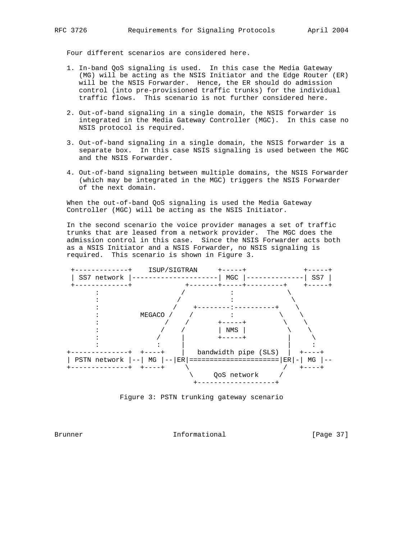Four different scenarios are considered here.

- 1. In-band QoS signaling is used. In this case the Media Gateway (MG) will be acting as the NSIS Initiator and the Edge Router (ER) will be the NSIS Forwarder. Hence, the ER should do admission control (into pre-provisioned traffic trunks) for the individual traffic flows. This scenario is not further considered here.
	- 2. Out-of-band signaling in a single domain, the NSIS forwarder is integrated in the Media Gateway Controller (MGC). In this case no NSIS protocol is required.
	- 3. Out-of-band signaling in a single domain, the NSIS forwarder is a separate box. In this case NSIS signaling is used between the MGC and the NSIS Forwarder.
	- 4. Out-of-band signaling between multiple domains, the NSIS Forwarder (which may be integrated in the MGC) triggers the NSIS Forwarder of the next domain.

 When the out-of-band QoS signaling is used the Media Gateway Controller (MGC) will be acting as the NSIS Initiator.

 In the second scenario the voice provider manages a set of traffic trunks that are leased from a network provider. The MGC does the admission control in this case. Since the NSIS Forwarder acts both as a NSIS Initiator and a NSIS Forwarder, no NSIS signaling is required. This scenario is shown in Figure 3.



Figure 3: PSTN trunking gateway scenario

Brunner 1. Informational [Page 37]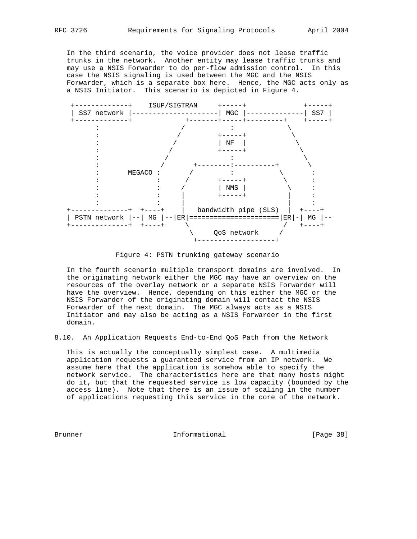In the third scenario, the voice provider does not lease traffic trunks in the network. Another entity may lease traffic trunks and may use a NSIS Forwarder to do per-flow admission control. In this case the NSIS signaling is used between the MGC and the NSIS Forwarder, which is a separate box here. Hence, the MGC acts only as a NSIS Initiator. This scenario is depicted in Figure 4.



Figure 4: PSTN trunking gateway scenario

 In the fourth scenario multiple transport domains are involved. In the originating network either the MGC may have an overview on the resources of the overlay network or a separate NSIS Forwarder will have the overview. Hence, depending on this either the MGC or the NSIS Forwarder of the originating domain will contact the NSIS Forwarder of the next domain. The MGC always acts as a NSIS Initiator and may also be acting as a NSIS Forwarder in the first domain.

8.10. An Application Requests End-to-End QoS Path from the Network

 This is actually the conceptually simplest case. A multimedia application requests a guaranteed service from an IP network. We assume here that the application is somehow able to specify the network service. The characteristics here are that many hosts might do it, but that the requested service is low capacity (bounded by the access line). Note that there is an issue of scaling in the number of applications requesting this service in the core of the network.

Brunner 1. Informational 1. Page 38]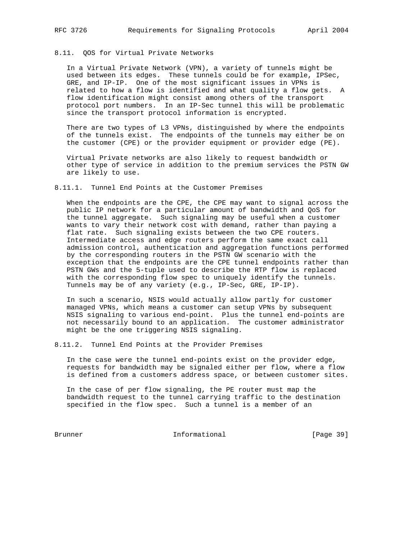# 8.11. QOS for Virtual Private Networks

 In a Virtual Private Network (VPN), a variety of tunnels might be used between its edges. These tunnels could be for example, IPSec, GRE, and IP-IP. One of the most significant issues in VPNs is related to how a flow is identified and what quality a flow gets. A flow identification might consist among others of the transport protocol port numbers. In an IP-Sec tunnel this will be problematic since the transport protocol information is encrypted.

 There are two types of L3 VPNs, distinguished by where the endpoints of the tunnels exist. The endpoints of the tunnels may either be on the customer (CPE) or the provider equipment or provider edge (PE).

 Virtual Private networks are also likely to request bandwidth or other type of service in addition to the premium services the PSTN GW are likely to use.

#### 8.11.1. Tunnel End Points at the Customer Premises

 When the endpoints are the CPE, the CPE may want to signal across the public IP network for a particular amount of bandwidth and QoS for the tunnel aggregate. Such signaling may be useful when a customer wants to vary their network cost with demand, rather than paying a flat rate. Such signaling exists between the two CPE routers. Intermediate access and edge routers perform the same exact call admission control, authentication and aggregation functions performed by the corresponding routers in the PSTN GW scenario with the exception that the endpoints are the CPE tunnel endpoints rather than PSTN GWs and the 5-tuple used to describe the RTP flow is replaced with the corresponding flow spec to uniquely identify the tunnels. Tunnels may be of any variety (e.g., IP-Sec, GRE, IP-IP).

 In such a scenario, NSIS would actually allow partly for customer managed VPNs, which means a customer can setup VPNs by subsequent NSIS signaling to various end-point. Plus the tunnel end-points are not necessarily bound to an application. The customer administrator might be the one triggering NSIS signaling.

8.11.2. Tunnel End Points at the Provider Premises

 In the case were the tunnel end-points exist on the provider edge, requests for bandwidth may be signaled either per flow, where a flow is defined from a customers address space, or between customer sites.

 In the case of per flow signaling, the PE router must map the bandwidth request to the tunnel carrying traffic to the destination specified in the flow spec. Such a tunnel is a member of an

Brunner Informational [Page 39]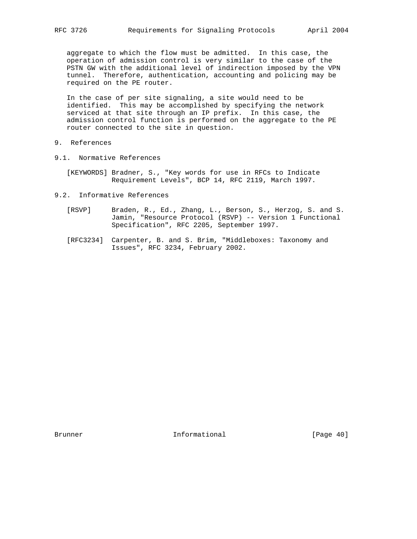aggregate to which the flow must be admitted. In this case, the operation of admission control is very similar to the case of the PSTN GW with the additional level of indirection imposed by the VPN tunnel. Therefore, authentication, accounting and policing may be required on the PE router.

 In the case of per site signaling, a site would need to be identified. This may be accomplished by specifying the network serviced at that site through an IP prefix. In this case, the admission control function is performed on the aggregate to the PE router connected to the site in question.

- 9. References
- 9.1. Normative References
	- [KEYWORDS] Bradner, S., "Key words for use in RFCs to Indicate Requirement Levels", BCP 14, RFC 2119, March 1997.
- 9.2. Informative References
	- [RSVP] Braden, R., Ed., Zhang, L., Berson, S., Herzog, S. and S. Jamin, "Resource Protocol (RSVP) -- Version 1 Functional Specification", RFC 2205, September 1997.
	- [RFC3234] Carpenter, B. and S. Brim, "Middleboxes: Taxonomy and Issues", RFC 3234, February 2002.

Brunner 1. Informational [Page 40]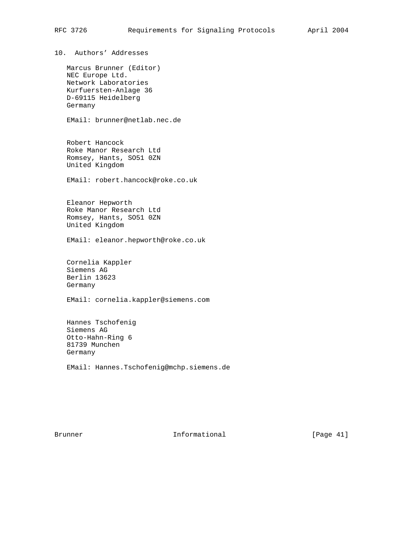10. Authors' Addresses Marcus Brunner (Editor) NEC Europe Ltd. Network Laboratories Kurfuersten-Anlage 36 D-69115 Heidelberg Germany EMail: brunner@netlab.nec.de

 Robert Hancock Roke Manor Research Ltd Romsey, Hants, SO51 0ZN United Kingdom

EMail: robert.hancock@roke.co.uk

 Eleanor Hepworth Roke Manor Research Ltd Romsey, Hants, SO51 0ZN United Kingdom

EMail: eleanor.hepworth@roke.co.uk

 Cornelia Kappler Siemens AG Berlin 13623 Germany

EMail: cornelia.kappler@siemens.com

 Hannes Tschofenig Siemens AG Otto-Hahn-Ring 6 81739 Munchen Germany

EMail: Hannes.Tschofenig@mchp.siemens.de

Brunner 10 Informational [Page 41]